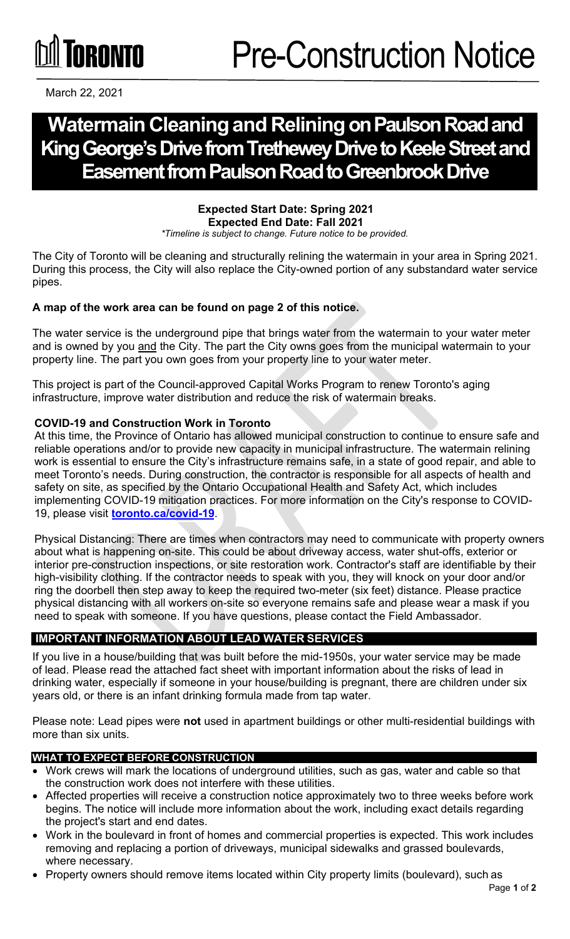# **TORONTO**

March 22, 2021

# **Watermain Cleaningand Reliningon Paulson Road and King George's Drive from Trethewey Drive to Keele Street and Easement from Paulson Road to Greenbrook Drive**

#### **Expected Start Date: Spring 2021 Expected End Date: Fall 2021**

*\*Timeline is subject to change. Future notice to be provided.*

The City of Toronto will be cleaning and structurally relining the watermain in your area in Spring 2021. During this process, the City will also replace the City-owned portion of any substandard water service pipes.

## **A map of the work area can be found on page 2 of this notice.**

The water service is the underground pipe that brings water from the watermain to your water meter and is owned by you and the City. The part the City owns goes from the municipal watermain to your property line. The part you own goes from your property line to your water meter.

This project is part of the Council-approved Capital Works Program to renew Toronto's aging infrastructure, improve water distribution and reduce the risk of watermain breaks.

#### **COVID-19 and Construction Work in Toronto**

At this time, the Province of Ontario has allowed municipal construction to continue to ensure safe and reliable operations and/or to provide new capacity in municipal infrastructure. The watermain relining work is essential to ensure the City's infrastructure remains safe, in a state of good repair, and able to meet Toronto's needs. During construction, the contractor is responsible for all aspects of health and safety on site, as specified by the Ontario Occupational Health and Safety Act, which includes implementing COVID-19 mitigation practices. For more information on the City's response to COVID-19, please visit **[toronto.ca/covid-19](https://www.toronto.ca/home/covid-19/)**.

Physical Distancing: There are times when contractors may need to communicate with property owners about what is happening on-site. This could be about driveway access, water shut-offs, exterior or interior pre-construction inspections, or site restoration work. Contractor's staff are identifiable by their high-visibility clothing. If the contractor needs to speak with you, they will knock on your door and/or ring the doorbell then step away to keep the required two-meter (six feet) distance. Please practice physical distancing with all workers on-site so everyone remains safe and please wear a mask if you need to speak with someone. If you have questions, please contact the Field Ambassador.

## **IMPORTANT INFORMATION ABOUT LEAD WATER SERVICES**

If you live in a house/building that was built before the mid-1950s, your water service may be made of lead. Please read the attached fact sheet with important information about the risks of lead in drinking water, especially if someone in your house/building is pregnant, there are children under six years old, or there is an infant drinking formula made from tap water.

Please note: Lead pipes were **not** used in apartment buildings or other multi-residential buildings with more than six units.

#### **WHAT TO EXPECT BEFORE CONSTRUCTION**

- Work crews will mark the locations of underground utilities, such as gas, water and cable so that the construction work does not interfere with these utilities.
- Affected properties will receive a construction notice approximately two to three weeks before work begins. The notice will include more information about the work, including exact details regarding the project's start and end dates.
- Work in the boulevard in front of homes and commercial properties is expected. This work includes removing and replacing a portion of driveways, municipal sidewalks and grassed boulevards, where necessary.
- Property owners should remove items located within City property limits (boulevard), such as